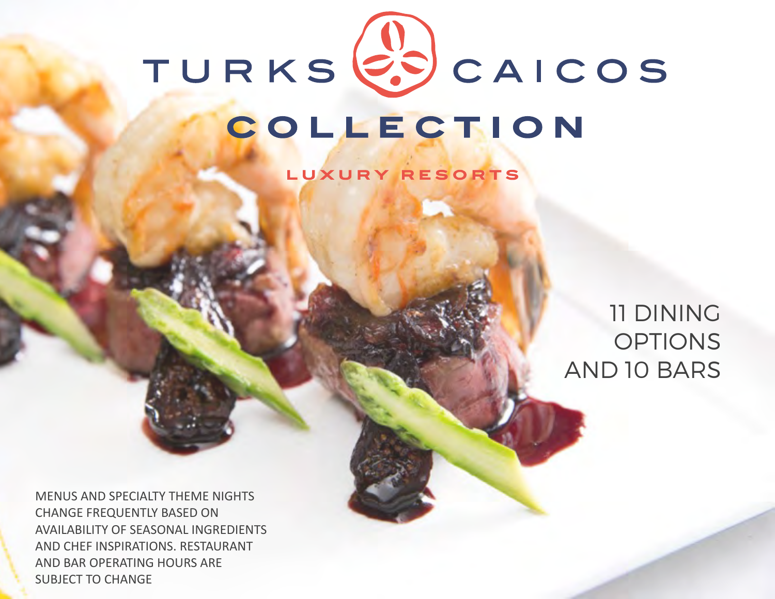

LUXURY RESORTS

# 11 DINING **OPTIONS** AND 10 BARS

MENUS AND SPECIALTY THEME NIGHTS CHANGE FREQUENTLY BASED ON AVAILABILITY OF SEASONAL INGREDIENTS AND CHEF INSPIRATIONS. RESTAURANT AND BAR OPERATING HOURS ARE SUBJECT TO CHANGE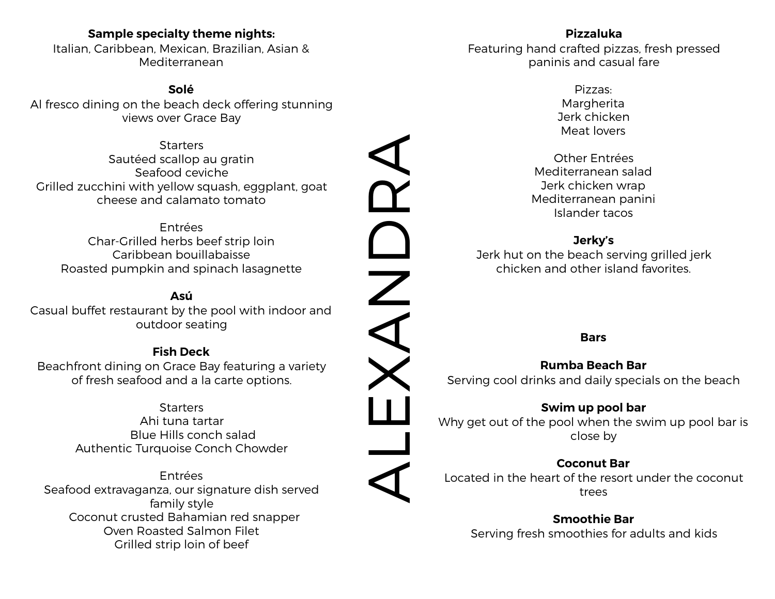# **Sample specialty theme nights:**

Italian, Caribbean, Mexican, Brazilian, Asian & Mediterranean

#### **Solé**

Al fresco dining on the beach deck offering stunning views over Grace Bay

**Starters** Sautéed scallop au gratin Seafood ceviche Grilled zucchini with yellow squash, eggplant, goat cheese and calamato tomato

Entrées Char-Grilled herbs beef strip loin Caribbean bouillabaisse Roasted pumpkin and spinach lasagnette

# **Asú**

Casual buffet restaurant by the pool with indoor and outdoor seating

## **Fish Deck**

Beachfront dining on Grace Bay featuring a variety of fresh seafood and a la carte options.

> **Starters** Ahi tuna tartar Blue Hills conch salad Authentic Turquoise Conch Chowder

Entrées Seafood extravaganza, our signature dish served family style Coconut crusted Bahamian red snapper Oven Roasted Salmon Filet Grilled strip loin of beef

# **Pizzaluka** Featuring hand crafted pizzas, fresh pressed paninis and casual fare

- Pizzas: Margherita Jerk chicken Meat lovers
- Other Entrées Mediterranean salad Jerk chicken wrap Mediterranean panini Islander tacos

# **Jerky's**

Jerk hut on the beach serving grilled jerk chicken and other island favorites.

#### **Bars**

# **Rumba Beach Bar**  Serving cool drinks and daily specials on the beach

#### **Swim up pool bar**

Why get out of the pool when the swim up pool bar is close by

## **Coconut Bar**

Located in the heart of the resort under the coconut trees

**Smoothie Bar**  Serving fresh smoothies for adults and kids

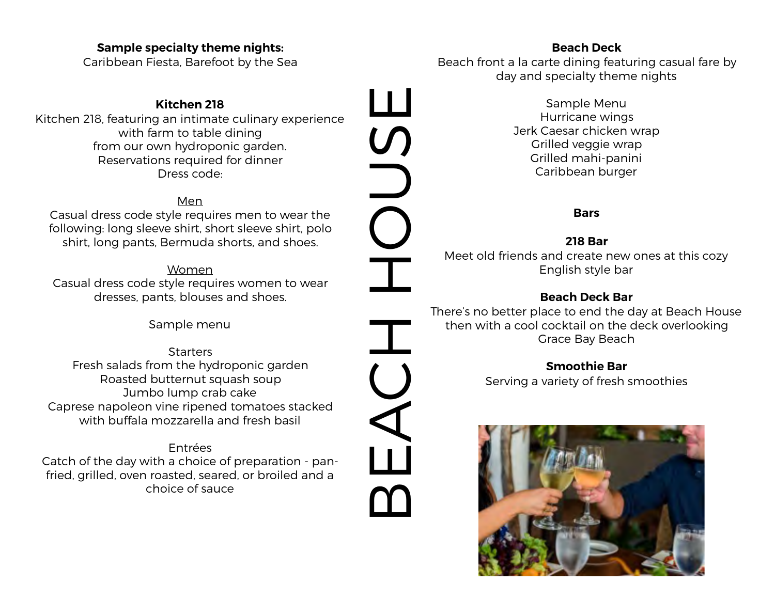#### **Sample specialty theme nights:**

Caribbean Fiesta, Barefoot by the Sea

# **Kitchen 218**

Kitchen 218, featuring an intimate culinary experience with farm to table dining from our own hydroponic garden. Reservations required for dinner Dress code:

#### Men

Casual dress code style requires men to wear the following: long sleeve shirt, short sleeve shirt, polo shirt, long pants, Bermuda shorts, and shoes.

Women Casual dress code style requires women to wear dresses, pants, blouses and shoes.

Sample menu

**Starters** Fresh salads from the hydroponic garden Roasted butternut squash soup Jumbo lump crab cake Caprese napoleon vine ripened tomatoes stacked with buffala mozzarella and fresh basil

Entrées Catch of the day with a choice of preparation - panfried, grilled, oven roasted, seared, or broiled and a choice of sauce

## **Beach Deck**

Beach front a la carte dining featuring casual fare by day and specialty theme nights

> Sample Menu Hurricane wings Jerk Caesar chicken wrap Grilled veggie wrap Grilled mahi-panini Caribbean burger

#### **Bars**

## **218 Bar**

Meet old friends and create new ones at this cozy English style bar

## **Beach Deck Bar**

**BEACH DAY** 

 $\boldsymbol{\mathit{\Gamma}}$ 

There's no better place to end the day at Beach House then with a cool cocktail on the deck overlooking Grace Bay Beach

## **Smoothie Bar**

Serving a variety of fresh smoothies